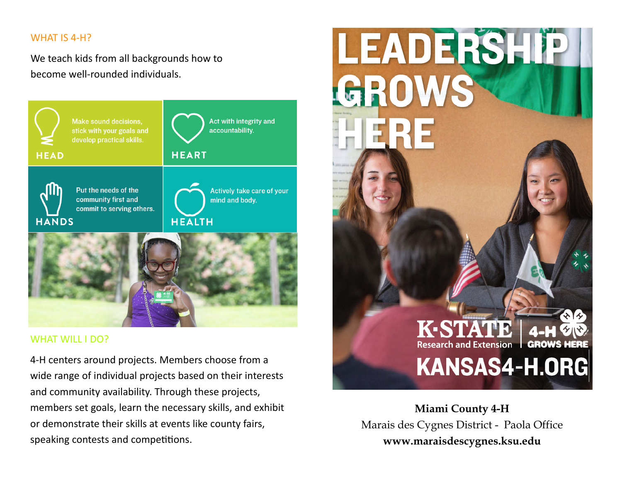# WHAT IS 4‐H?

We teach kids from all backgrounds how to become well‐rounded individuals.



# WHAT WILL I DO?

4‐H centers around projects. Members choose from a wide range of individual projects based on their interests and community availability. Through these projects, members set goals, learn the necessary skills, and exhibit or demonstrate their skills at events like county fairs, speaking contests and competitions.



**Miami County 4-H** Marais des Cygnes District - Paola Office **www.maraisdescygnes.ksu.edu**